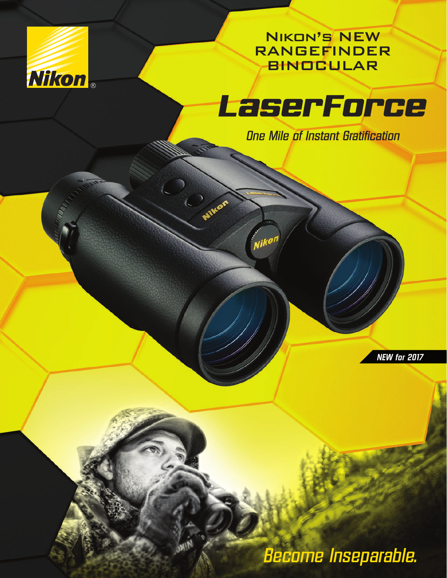

Nikon's NEW RANGEFINDER BINOCULAR



*One Mile of Instant Gratification*

,<br>Nik<sup>ol</sup>

*NEW for 2017*

*Become Inseparable.*